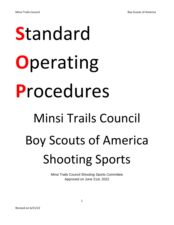# **S**tandard **O**perating **P**rocedures Minsi Trails Council Boy Scouts of America Shooting Sports

Minsi Trails Council Shooting Sports Committee Approved on June 21st, 2022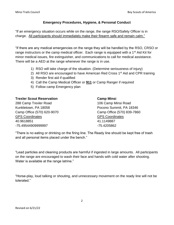#### **Emergency Procedures, Hygiene, & Personal Conduct**

"If an emergency situation occurs while on the range, the range RSO/Safety Officer is in charge. All participants should immediately make their firearm safe and remain calm."

"If there are any medical emergencies on the range they will be handled by the RSO, CRSO or range instructors or the camp medical officer. Each range is equipped with a 1<sup>st</sup> Aid Kit for minor medical issues, fire extinguisher, and communications to call for medical assistance. There will be a AED at the range whenever the range is in use.

- 1) RSO will take charge of the situation. (Determine seriousness of injury)
- 2) All RSO are encouraged to have American Red Cross 1<sup>st</sup> Aid and CPR training
- 3) Render first aid if qualified
- 4) Call the Camp Medical Officer or **911** or Camp Ranger if required
- 5) Follow camp Emergency plan

| <b>Trexler Scout Reservation</b> | <b>Camp Minsi</b>          |
|----------------------------------|----------------------------|
| 288 Camp Trexler Road            | 106 Camp Minsi Road        |
| Kunkletown, PA 18058             | Pocono Summit, PA 18346    |
| Camp Office (570) 620-9070       | Camp Office (570) 839-7860 |
| <b>GPS Coordinates</b>           | <b>GPS Coordinates</b>     |
| 40.9618851                       | 41.1149887                 |
| -75.49544909999997               | -75.4205862                |

"There is no eating or drinking on the firing line. The Ready line should be kept free of trash and all personal items placed under the bench."

"Lead particles and cleaning products are harmful if ingested in large amounts. All participants on the range are encouraged to wash their face and hands with cold water after shooting. Water is available at the range latrine."

"Horse-play, loud talking or shouting, and unnecessary movement on the ready line will not be tolerated."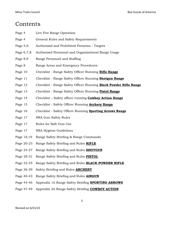# **Contents**

| Page 4     | Live Fire Range Operation                                         |
|------------|-------------------------------------------------------------------|
| Page 4     | General Rules and Safety Requirements                             |
| Page $5,6$ | Authorized and Prohibited Firearms - Targets                      |
| Page 6,7,8 | Authorized Personnel and Organizational Range Usage               |
| Page 8,9   | Range Personnel and Staffing                                      |
| Page 8     | Range Areas and Emergency Procedures                              |
| Page 10    | Checklist - Range Safety Officer Running Rifle Range              |
| Page 11    | Checklist - Range Safety Officer Running Shotgun Range            |
| Page 12    | Checklist - Range Safety Officer Running Black Powder Rifle Range |
| Page 13    | Checklist - Range Safety Officer Running <b>Pistol Range</b>      |
| Page 14    | Checklist - Safety officer running <b>Cowboy Action Range</b>     |
| Page 15    | Checklist - Safety Officer Running Archery Range                  |
| Page 16    | Checklist - Safety Officer Running Sporting Arrows Range          |
| Page 17    | NRA Gun Safety Rules                                              |
| Page 17    | Rules for Safe Gun Use                                            |
| Page 17    | NRA Hygiene Guidelines                                            |
| Page 18,19 | Range Safety Briefing & Range Commands                            |
| Page 20-23 | Range Safety Briefing and Rules RIFLE                             |
| Page 24-27 | Range Safety Briefing and Rules SHOTGUN                           |
| Page 28-31 | Range Safety Briefing and Rules <b>PISTOL</b>                     |
| Page 32-35 | Range Safety Briefing and Rules <b>BLACK POWDER RIFLE</b>         |

- Page 36-39 Safety Briefing and Rules **ARCHERY**
- Page 40-43 Range Safety Briefing and Rules **AIRGUN**
- Page 44-46 Appendix 1A Range Safety Briefing **SPORTING ARROWS**
- Page 47-49 Appendix 2A Range Safety Briefing **COWBOY ACTION**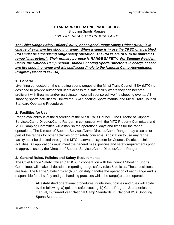#### **STANDARD OPERATING PROCEDURES**

Shooting Sports Ranges *LIVE FIRE RANGE OPERATIONS GUIDE*

*The Chief Range Safety Officer (CRSO) or assigned Range Safety Officer (RSO) is in charge of each live fire shooting range. When a range is in use the CRSO or a certified RSO must be supervising range safety operation. The RSO's are NOT to be utilized as range "instructors". Their primary purpose is RANGE SAFETY. For Summer Resident Camp, the National Camp School Trained Shooting Sports Director is in charge of each live fire shooting range and will staff accordingly to the National Camp Accreditation Program (standard PS-214)*

#### **1. General**

Live firing conducted on the shooting sports ranges of the Minsi Trails Council, BSA (MTC) is designed to provide authorized users access to a safe facility where they can become proficient with firearms and/or participate in council sponsored live fire shooting events. All shooting sports activities will follow the BSA Shooting Sports manual and Minsi Trails Council Standard Operating Procedures.

#### **2. Facilities for Use**

Range availability is at the discretion of the Minsi Trails Council. The Director of Support Services/Camp Director/Camp Ranger, in conjunction with the MTC Property Committee and MTC Camping Committee will establish the operational days and times for the range operations. The Director of Support Services/Camp Director/Camp Ranger may close all or part of the ranges for other activities or for safety concerns. Application to use any range facility must be directed through the MTC reservation system for Council, District or Unit activities. All applications must meet the general rules, policies and safety requirements prior to approval use by the Director of Support Services/Camp Director/Camp Ranger.

#### **3. General Rules, Policies and Safety Requirements**

The Chief Range Safety Officer (CRSO), in cooperation with the Council Shooting Sports Committee, will make all decisions regarding range safety rules & policies. These decisions are final. The Range Safety Officer (RSO) on duty handles the operation of each range and is responsible for all safety and gun handling practices while the range(s) are in operation.

> All established operational procedures, guidelines, policies and rules will abide by the following: a) guide to safe scouting, b) Camp Program & properties manual, c) Current year National Camp Standards, d) National BSA Shooting Sports Standards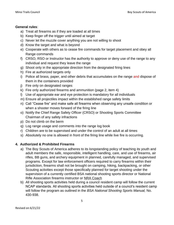#### **General rules**:

- a) Treat all firearms as if they are loaded at all times
- b) Keep finger off the trigger until aimed at target
- c) Never let the muzzle cover anything you are not willing to shoot
- d) Know the target and what is beyond
- e) Cooperate with others as to cease fire commands for target placement and obey all Range commands
- f) CRSO, RSO or Instructor has the authority to approve or deny use of the range to any individual and request they leave the range
- g) Shoot only in the appropriate direction from the designated firing lines
- h) Fire at authorized targets only
- i) Police all brass, paper, and other debris that accumulates on the range and dispose of them in the containers provided
- j) Fire only on designated ranges
- k) Fire only authorized firearms and ammunition (page 2, item 4)
- l) Use of appropriate ear and eye protection is mandatory for all individuals
- m) Ensure all projectiles impact within the established range safety limits
- n) Call "Cease fire" and make safe all firearms when observing any unsafe condition or when a shooter moves forward of the firing line
- o) Notify the Chief Range Safety Officer (CRSO) or Shooting Sports Committee Chairman of any safety infractions
- p) Do not climb on the berm
- q) Log range usage and comments into the range log book
- r) Children are to be supervised and under the control of an adult at all times
- s) Absolutely no one is allowed in front of the firing line while live fire is occurring.

#### **4. Authorized & Prohibited Firearms**

- a) The Boy Scouts of America adheres to its longstanding policy of teaching its youth and adult members the safe, responsible, intelligent handling, care, and use of firearms, air rifles, BB guns, and archery equipment in planned, carefully managed, and supervised programs. Except for law enforcement officers required to carry firearms within their jurisdiction, firearms shall not be brought on camping, hiking, backpacking, or other Scouting activities except those specifically planned for target shooting under the supervision of a currently certified BSA national shooting sports director or National Rifle Association firearms instructor or NRA Coach
- b) All shooting sports activities held during a council resident camp will follow the current NCAP standards. All shooting sports activities held outside of a council's resident camp will follow the program as outlined in the *BSA National Shooting Sports Manual,* No. 430-938.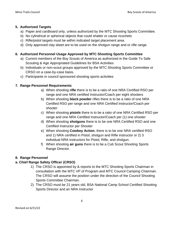#### **5. Authorized Targets**

- a) Paper and cardboard only, unless authorized by the MTC Shooting Sports Committee.
- b) No cylindrical or spherical objects that could shatter or cause ricochets
- c) Rifle/pistol targets must be within indicated target placement area.
- d) Only approved clay skeet are to be used on the shotgun range and or rifle range.

# **6. Authorized Personnel Usage Approved by MTC Shooting Sports Committee**

- a) Current members of the Boy Scouts of America as authorized in the Guide To Safe Scouting & Age Appropriated Guidelines for BSA Activities
- b) Individuals or non-scout groups approved by the MTC Shooting Sports Committee or CRSO on a case-by-case basis.
- c) Participants in council sponsored shooting sports activities

# **7. Range Personnel Requirements**

- a) When shooting **rifle** there is to be a ratio of one NRA Certified RSO per range and one NRA certified Instructor/Coach per eight shooters
- b) When shooting **black powder** rifles there is to be a ratio of one NRA Certified RSO per range and one NRA Certified Instructor/Coach per shooter
- c) When shooting **pistols** there is to be a ratio of one NRA Certified RSO per range and one NRA Certified Instructor/Coach per (1) one shooter
- d) When shooting **shotguns** there is to be one NRA Certified RSO and one Certified Instructor per Shooter
- e) When shooting **Cowboy Action**, there is to be one NRA certified RSO and 1) NRA certified in Pistol, shotgun and Rifle instructor or 2) 3 individual NRA instructors for Pistol, Rifle, and shotgun.
- f) When shooting **air guns** there is to be a Cub Scout Shooting Sports Range Director.

# **8. Range Personnel**

# **a. Chief Range Safety Officer (CRSO)**

- 1) The CRSO is appointed by & reports to the MTC Shooting Sports Chairman in consultation with the MTC VP of Program and MTC Council Camping Chairman. The CRSO will assume the position under the direction of the Council Shooting Sports Committee Chairman.
- 2) The CRSO must be 21 years old, BSA National Camp School Certified Shooting Sports Director and an NRA Instructor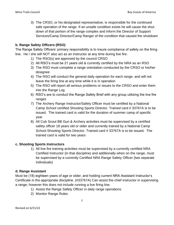3) The CRSO, or his designated representative, is responsible for the continued safe operation of the range. If an unsafe condition exists he will cause the shutdown of that portion of the range complex and inform the Director of Support Services/Camp Director/Camp Ranger of the condition that caused the shutdown

#### **b. Range Safety Officers (RSO)**

The Range Safety Officers' primary responsibility is to insure compliance of safety on the firing line. He / she will NOT also act as an instructor at any time during live fire.

- 1) The RSO(s) are approved by the council CRSO
- 2) All RSO's must be 21 years old & currently certified by the NRA as an RSO
- 3) The RSO must complete a range orientation conducted by the CRSO or his/her designee
- 4) The RSO will conduct the general daily operation for each range, and will not leave the firing line at any time while it is in operation
- 5) The RSO will report all serious problems or issues to the CRSO and enter them into the Range Log
- 6) RSO's are to conduct the Range Safety Brief with any group utilizing the live fire ranges
- 7) The Archery Range Instructor/Safety Officer must be certified by a National Camp School certified Shooting Sports Director. Trained card # 33767A is to be issued. The trained card is valid for the duration of summer camp of specific year
- 8) All Cub Scout BB Gun & Archery activities must be supervised by a certified safety officer 18 years old or older and currently trained by a National Camp School Shooting Sports Director. Trained card # 33767A is to be issued. The trained card is valid for two years

# **c. Shooting Sports Instructors**

1) All live fire training activities must be supervised by a currently certified NRA Certified Instructor (in that discipline) and additionally when on the range, must be supervised by a currently Certified NRA Range Safety Officer (two separate individuals)

#### **d. Range Assistant**

Must be (18) eighteen years of age or older, and holding current NRA Assistant Instructor's Certificate in the appropriate discipline. (#33767A) Can assist the chief instructor in supervising a range; however this does not include running a live firing line.

- 1) Assist the Range Safety Officer in daily range operations
- 2) Monitor Range Rules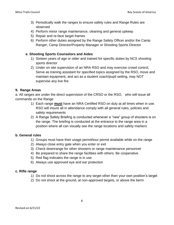- 3) Periodically walk the ranges to ensure safety rules and Range Rules are observed
- 4) Perform minor range maintenance, cleaning and general upkeep
- 5) Repair and re-face target frames
- 6) Perform other duties assigned by the Range Safety Officer and/or the Camp Ranger, Camp Director/Property Manager or Shooting Sports Director

#### **e. Shooting Sports Counselors and Aides**

- 1) Sixteen years of age or older and trained for specific duties by NCS shooting sports director
- 2) Under on site supervision of an NRA RSO and may exercise crowd control, Serve as training assistant for specified topics assigned by the RSO, move and maintain equipment, and act as a student coach/pupil setting, may NOT supervise any live fire

#### **9. Range Areas**

a. All ranges are under the direct supervision of the CRSO or the RSO, who will issue all commands on the Range

- 1) Each range **must** have an NRA Certified RSO on duty at all times when in use. RSO will insure all in attendance comply with all general rules, policies and safety requirements
- 2) A Range Safety Briefing is conducted whenever a "new" group of shooters is on the range. The briefing is conducted at the entrance to the range area in a position where all can visually see the range locations and safety markers

#### **b. General rules**

- 1) Groups must have their usage permit/tour permit available while on the range
- 2) Always close entry gate when you enter or exit
- 3) Check downrange for other shooters or range maintenance personnel
- 4) Be prepared to share the range facilities with others. Be cooperative
- 5) Red flag indicates the range is in use
- 6) Always use approved eye and ear protection

#### **c. Rifle range**

- 1) Do not shoot across the range to any target other than your own position's target
- 2) Do not shoot at the ground, at non-approved targets, or above the berm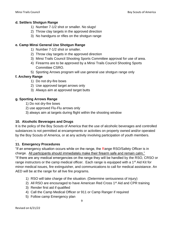#### **d. Settlers Shotgun Range**

- 1) Number 7-1/2 shot or smaller. No slugs!
- 2) Throw clay targets in the approved direction
- 3) No handguns or rifles on the shotgun range

#### **e. Camp Minsi General Use Shotgun Range**

- 1) Number 7-1/2 shot or smaller.
- 2) Throw clay targets in the approved direction
- 3) Minsi Trails Council Shooting Sports Committee approval for use of area.
- 4) Firearms are to be approved by a Minsi Trails Council Shooting Sports Committee CSRO.
- 5) Sporting Arrows program will use general use shotgun range only

#### **f. Archery Range**

- 1) Do not dry-fire bows
- 2) Use approved target arrows only
- 3) Always aim at approved target butts

#### **g. Sporting Arrows Range**

- 1) Do not dry-fire bows
- 2) use approved Flu-Flu arrows only
- 3) always aim at targets during flight within the shooting window

#### **10. Alcoholic Beverages and Drugs**

It is the policy of the Boy Scouts of America that the use of alcoholic beverages and controlled substances is not permitted at encampments or activities on property owned and/or operated by the Boy Scouts of America, or at any activity involving participation of youth members.

#### **11. Emergency Procedures**

.

"If an emergency situation occurs while on the range, the Range RSO/Safety Officer is in charge. All participants should immediately make their firearm safe and remain calm." "If there are any medical emergencies on the range they will be handled by the RSO, CRSO or range instructors or the camp medical officer. Each range is equipped with a 1<sup>st</sup> Aid Kit for minor medical issues, fire extinguisher, and communications to call for medical assistance. An AED will be at the range for all live fire programs.

- 1) RSO will take charge of the situation. (Determine seriousness of injury)
- 2) All RSO are encouraged to have American Red Cross 1<sup>st</sup> Aid and CPR training
- 3) Render first aid if qualified
- 4) Call the Camp Medical Officer or 911 or Camp Ranger if required
- 5) Follow camp Emergency plan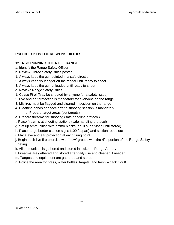# **RSO CHECKLIST OF RESPONSIBILITIES**

# **12. RSO RUNNING THE RIFLE RANGE**

- a. Identify the Range Safety Officer
- b. Review: Three Safety Rules poster
- 1. Always keep the gun pointed in a safe direction
- 2. Always keep your finger off the trigger until ready to shoot
- 3. Always keep the gun unloaded until ready to shoot
- c. Review: Range Safety Rules
- 1. Cease Fire! (May be shouted by anyone for a safety issue)
- 2. Eye and ear protection is mandatory for everyone on the range
- 3. Misfires must be flagged and cleared in position on the range
- 4. Cleaning hands and face after a shooting session is mandatory d. Prepare target areas (set targets)
- e. Prepare firearms for shooting (safe handling protocol)
- f. Place firearms at shooting stations (safe handling protocol)
- g. Set up ammunition with ammo blocks (adult supervised until stored)
- h. Place range border caution signs (100 ft apart) and section ropes out
- i. Place eye and ear protection at each firing point

j. Begin each live fire exercise with "new" groups with the rifle portion of the Range Safety **Briefing** 

- k. All ammunition is gathered and stored in locker in Range Armory
- l. Firearms are gathered and stored after daily use and cleaned if needed.
- m. Targets and equipment are gathered and stored
- n. Police the area for brass, water bottles, targets, and trash pack it out!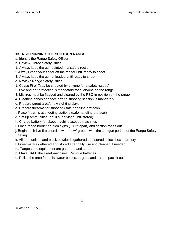# **13. RSO RUNNING THE SHOTGUN RANGE**

- a. Identify the Range Safety Officer
- b. Review: Three Safety Rules
- 1. Always keep the gun pointed in a safe direction
- 2 Always keep your finger off the trigger until ready to shoot
- 3. Always keep the gun unloaded until ready to shoot
- c. Review: Range Safety Rules
- 1. Cease Fire! (May be shouted by anyone for a safety issues)
- 2. Eye and ear protection is mandatory for everyone on the range
- 3. Misfires must be flagged and cleared by the RSO in position on the range
- 4. Cleaning hands and face after a shooting session is mandatory
- d. Prepare target area/throw sighting clays
- e. Prepare firearms for shooting (safe handling protocol)
- f. Place firearms at shooting stations (safe handling protocol)
- g. Set up ammunition (adult supervised until stored)
- h. Charge battery for skeet machines/set up machines
- i. Place range border caution signs (100 ft apart) and section ropes out

j. Begin each live fire exercise with "new" groups with the shotgun portion of the Range Safety **Briefing** 

k. All ammunition and black powder is gathered and stored in lock box in armory

- l. Firearms are gathered and stored after daily use and cleaned if needed.
- m. Targets and equipment are gathered and stored
- n. Make SAFE the skeet machines. Remove batteries
- o. Police the area for hulls, water bottles, targets, and trash pack it out!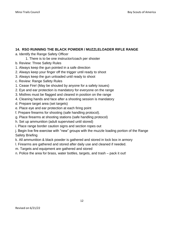#### **14. RSO RUNNING THE BLACK POWDER / MUZZLELOADER RIFLE RANGE**

- a. Identify the Range Safety Officer
	- 1. There is to be one instructor/coach per shooter
- b. Review: Three Safety Rules
- 1. Always keep the gun pointed in a safe direction
- 2. Always keep your finger off the trigger until ready to shoot
- 3. Always keep the gun unloaded until ready to shoot
- c. Review: Range Safety Rules
- 1. Cease Fire! (May be shouted by anyone for a safety issues)
- 2. Eye and ear protection is mandatory for everyone on the range
- 3. Misfires must be flagged and cleared in position on the range
- 4. Cleaning hands and face after a shooting session is mandatory
- d. Prepare target area (set targets)
- e. Place eye and ear protection at each firing point
- f. Prepare firearms for shooting (safe handling protocol).
- g. Place firearms at shooting stations (safe handling protocol)
- h. Set up ammunition (adult supervised until stored)
- i. Place range border caution signs and section ropes out

j. Begin live fire exercise with "new" groups with the muzzle loading portion of the Range Safety Briefing

k. All ammunition & black powder is gathered and stored in lock box in armory

- l. Firearms are gathered and stored after daily use and cleaned if needed.
- m. Targets and equipment are gathered and stored
- n. Police the area for brass, water bottles, targets, and trash pack it out!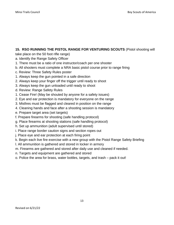#### **15. RSO RUNNING THE PISTOL RANGE FOR VENTURING SCOUTS** (Pistol shooting will

take place on the 50 foot rifle range)

- a. Identify the Range Safety Officer
- 1. There must be a ratio of one instructor/coach per one shooter
- b. All shooters must complete a NRA basic pistol course prior to range firing
- c. Review: Three Safety Rules poster
- 1. Always keep the gun pointed in a safe direction
- 2. Always keep your finger off the trigger until ready to shoot
- 3. Always keep the gun unloaded until ready to shoot
- d. Review: Range Safety Rules
- 1. Cease Fire! (May be shouted by anyone for a safety issues)
- 2. Eye and ear protection is mandatory for everyone on the range
- 3. Misfires must be flagged and cleared in position on the range
- 4. Cleaning hands and face after a shooting session is mandatory
- e. Prepare target area (set targets)
- f. Prepare firearms for shooting (safe handling protocol)
- g. Place firearms at shooting stations (safe handling protocol)
- h. Set up ammunition (adult supervised until stored)
- i. Place range border caution signs and section ropes out
- j. Place eye and ear protection at each firing point
- k. Begin each live fire exercise with a new group with the Pistol Range Safety Briefing
- l. All ammunition is gathered and stored in locker in armory
- m. Firearms are gathered and stored after daily use and cleaned if needed.
- n. Targets and equipment are gathered and stored
- o. Police the area for brass, water bottles, targets, and trash pack it out!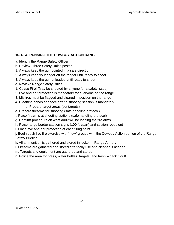# **16. RSO RUNNING THE COWBOY ACTION RANGE**

- a. Identify the Range Safety Officer
- b. Review: Three Safety Rules poster
- 1. Always keep the gun pointed in a safe direction
- 2. Always keep your finger off the trigger until ready to shoot
- 3. Always keep the gun unloaded until ready to shoot
- c. Review: Range Safety Rules
- 1. Cease Fire! (May be shouted by anyone for a safety issue)
- 2. Eye and ear protection is mandatory for everyone on the range
- 3. Misfires must be flagged and cleared in position on the range
- 4. Cleaning hands and face after a shooting session is mandatory d. Prepare target areas (set targets)
- e. Prepare firearms for shooting (safe handling protocol)
- f. Place firearms at shooting stations (safe handling protocol)
- g. Confirm procedure on what adult will be loading the fire arms.
- h. Place range border caution signs (100 ft apart) and section ropes out
- i. Place eye and ear protection at each firing point

j. Begin each live fire exercise with "new" groups with the Cowboy Action portion of the Range Safety Briefing

- k. All ammunition is gathered and stored in locker in Range Armory
- l. Firearms are gathered and stored after daily use and cleaned if needed.
- m. Targets and equipment are gathered and stored
- n. Police the area for brass, water bottles, targets, and trash pack it out!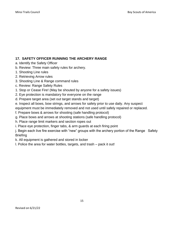# **17. SAFETY OFFICER RUNNING THE ARCHERY RANGE**

- a. Identify the Safety Officer
- b. Review: Three main safety rules for archery.
- 1. Shooting Line rules
- 2. Retrieving Arrow rules
- 3. Shooting Line & Range command rules
- c. Review: Range Safety Rules
- 1. Stop or Cease Fire! (May be shouted by anyone for a safety issues)
- 2. Eye protection is mandatory for everyone on the range
- d. Prepare target area (set out target stands and target)
- e. Inspect all bows, bow strings, and arrows for safety prior to use daily. Any suspect
- equipment must be immediately removed and not used until safely repaired or replaced.
- f. Prepare bows & arrows for shooting (safe handling protocol)
- g. Place bows and arrows at shooting stations (safe handling protocol)
- h. Place range limit markers and section ropes out
- i. Place eye protection, finger tabs, & arm guards at each firing point

j. Begin each live fire exercise with "new" groups with the archery portion of the Range Safety **Briefing** 

k. All equipment is gathered and stored in locker

l. Police the area for water bottles, targets, and trash – pack it out!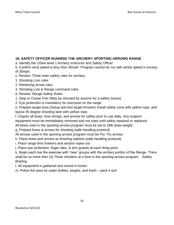# **18. SAFETY OFFICER RUNNING THE ARCHERY SPORTING ARROWS RANGE**

- a. Identify the USAA level 1 Archery Instructor and Safety Officer
- b. Confirm wind speed is less then 30mph. Program cannot be run with winds speed in excess of 30mph.
- c. Review: Three main safety rules for archery.
- 1. Shooting Line rules
- 2. Retrieving Arrow rules
- 3. Shooting Line & Range command rules
- d. Review: Range Safety Rules
- 1. Stop or Cease Fire! (May be shouted by anyone for a safety issues)
- 2. Eye protection is mandatory for everyone on the range
- e. Prepare target area (Setup and test target thrower) Install safety zone with yellow rope, and layout 45 degree shooting lane with yellow rope.
- f. Inspect all bows, bow strings, and arrows for safety prior to use daily. Any suspect
- equipment must be immediately removed and not used until safely repaired or replaced.
- All bows used in the sporting arrows program must be set to 26lb draw weight.
- g. Prepare bows & arrows for shooting (safe handling protocol)
- All arrows used in the sporting arrows program must be Flu- Flu arrows.
- h. Place bows and arrows at shooting stations (safe handling protocol)
- i. Place range limit markers and section ropes out
- j. Place eye protection, finger tabs, & arm guards at each firing point

k. Begin each live fire exercise with "new" groups with the archery portion of the Range. There shall be no more then (3) Three shooters at a time in the sporting arrows program. Safety **Briefing** 

- l. All equipment is gathered and stored in locker
- m. Police the area for water bottles, targets, and trash pack it out!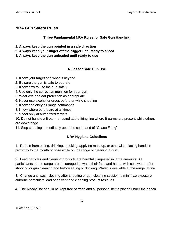# **NRA Gun Safety Rules**

#### **Three Fundamental NRA Rules for Safe Gun Handling**

- **1. Always keep the gun pointed in a safe direction**
- **2. Always keep your finger off the trigger until ready to shoot**
- **3. Always keep the gun unloaded until ready to use**

#### **Rules for Safe Gun Use**

- 1. Know your target and what is beyond
- 2. Be sure the gun is safe to operate
- 3. Know how to use the gun safely
- 4. Use only the correct ammunition for your gun
- 5. Wear eye and ear protection as appropriate
- 6. Never use alcohol or drugs before or while shooting
- 7. Know and obey all range commands
- 8. Know where others are at all times
- 9. Shoot only at authorized targets

10. Do not handle a firearm or stand at the firing line where firearms are present while others are downrange

11. Stop shooting immediately upon the command of "Cease Firing"

# **NRA Hygiene Guidelines**

1. Refrain from eating, drinking, smoking, applying makeup, or otherwise placing hands in proximity to the mouth or nose while on the range or cleaning a gun.

2. Lead particles and cleaning products are harmful if ingested in large amounts. All participants on the range are encouraged to wash their face and hands with cold water after shooting or gun cleaning and before eating or drinking. Water is available at the range latrine.

3. Change and wash clothing after shooting or gun cleaning session to minimize exposure airborne particulate lead or solvent and cleaning product residues.

4. The Ready line should be kept free of trash and all personal items placed under the bench.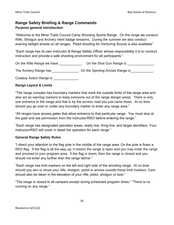# **Range Safety Briefing & Range Commands Purpose general Introduction**

"Welcome to the Minsi Trails Council Camp Shooting Sports Range. On the range we conduct Rifle, Shotgun and Archery merit badge sessions. During the summer we also conduct evening twilight shoots on all ranges. Pistol shooting for Venturing Scouts is also available"

"Each range has its own Instructor & Range Safety Officer whose responsibility it is to conduct instruction and provide a safe shooting environment for all participants."

On the Rifle Range we have \_\_\_\_\_\_\_\_\_\_\_\_. On the Shot Gun Range is \_\_\_\_\_\_\_\_\_\_\_\_\_\_.

The Archery Range has The Archery Range is The Archery Range is

Cowboy Action Range is \_\_\_\_\_\_\_\_\_\_\_\_\_.

#### **Range Layout & Limits**

"The range complex has boundary markers that mark the outside limits of the range area and also act as warning markers to keep everyone out of the range danger areas. There is only one entrance to the range and that is by the access road you just came down. At no time should you go over or under any boundary marker to enter any range area."

"All ranges have access gates that allow entrance to that particular range. You must stop at the gate and ask permission from the instructor/RSO before entering the range."

"Each range has designated spectator areas, ready line, firing line, and target identifiers. Your instructor/RSO will cover in detail the operation for each range."

#### **General Range Safety Rules**

"I direct your attention to the flag pole in the middle of the range area. On the pole is flown a RED flag. If the flag is all the way up, it means the range is open and you may enter the range and proceed to your program area. If the flag is down, then the range is closed and you should not enter any further than the range latrine."

"Each range has limit markers on the left and right side of the shooting range. At no time should you aim or shoot your rifle, shotgun, pistol or arrows outside those limit markers. Care should also be taken in the elevation of your rifle, pistol, shotgun or bow."

"The range is closed to all campers except during scheduled program times." "There is no running on any range."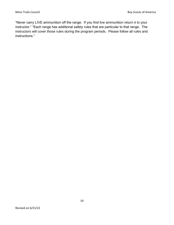"Never carry LIVE ammunition off the range. If you find live ammunition return it to your instructor." "Each range has additional safety rules that are particular to that range. The instructors will cover those rules during the program periods. Please follow all rules and instructions."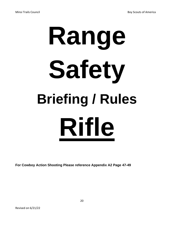# **Range Safety Briefing / Rules Rifle**

**For Cowboy Action Shooting Please reference Appendix A2 Page 47-49**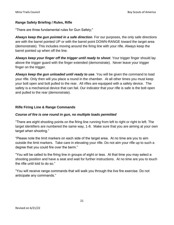#### **Range Safety Briefing / Rules, Rifle**

"There are three fundamental rules for Gun Safety;"

*Always keep the gun pointed in a safe direction*. For our purposes, the only safe directions are with the barrel pointed UP or with the barrel point DOWN-RANGE toward the target area (demonstrate). This includes moving around the firing line with your rifle. Always keep the barrel pointed up when off the line.

*Always keep your finger off the trigger until ready to shoot*. Your trigger finger should lay above the trigger guard with the finger extended (demonstrate). Never leave your trigger finger on the trigger.

*Always keep the gun unloaded until ready to use*. You will be given the command to load your rifle. Only then will you place a round in the chamber. At all other times you must keep your bolt open and bolt pulled to the rear. All rifles are equipped with a safety device. The safety is a mechanical device that can fail. Our indicator that your rifle is safe is the bolt open and pulled to the rear (demonstrate).

#### **Rifle Firing Line & Range Commands**

#### *Course of fire is one round in gun, no multiple loads permitted*

"There are eight shooting points on the firing line running from left to right or right to left. The target identifiers are numbered the same way, 1-8. Make sure that you are aiming at your own target when shooting."

"Please note the limit markers on each side of the target area. At no time are you to aim outside the limit markers. Take care in elevating your rifle. Do not aim your rifle up to such a degree that you could fire over the berm."

"You will be called to the firing line in groups of eight or less. At that time you may select a shooting position and have a seat and wait for further instructions. At no time are you to touch the rifle until told to do so."

"You will receive range commands that will walk you through the live fire exercise. Do not anticipate any commands."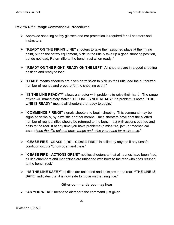#### **Review Rifle Range Commands & Procedures**

- ➢ Approved shooting safety glasses and ear protection is required for all shooters and instructors.
- ➢ **"READY ON THE FIRING LINE"** shooters to take their assigned place at their firing point, put on the safety equipment, pick up the rifle & take up a good shooting position, but do not load. Return rifle to the bench rest when ready."
- ➢ **"READY ON THE RIGHT, READY ON THE LEFT"** All shooters are in a good shooting position and ready to load.
- ➢ **"LOAD"** means shooters are given permission to pick up their rifle load the authorized number of rounds and prepare for the shooting event."
- ➢ **"IS THE LINE READY?"** allows a shooter with problems to raise their hand. The range officer will immediately state: "**THE LINE IS NOT READY**" if a problem is noted. "**THE LINE IS READY"** means all shooters are ready to begin."
- ➢ **"COMMENCE FIRING!"** signals shooters to begin shooting. This command may be signaled verbally, by a whistle or other means. Once shooters have shot the allotted number of rounds, rifles should be returned to the bench rest with actions opened and bolts to the rear. If at any time you have problems (a miss-fire, jam, or mechanical issue) *keep the rifle pointed down range and raise your hand for assistance*."
- ➢ **"CEASE FIRE - CEASE FIRE – CEASE FIRE!"** is called by anyone if any unsafe condition occurs "Show open and clear."
- ➢ **"CEASE FIRE—ACTIONS OPEN!"** notifies shooters to that all rounds have been fired, all rifle chambers and magazines are unloaded with bolts to the rear with rifles retuned to the bench rest."
- ➢ **"IS THE LINE SAFE?"** all rifles are unloaded and bolts are to the rear. **"THE LINE IS SAFE"** indicates that it is now safe to move on the firing line."

#### **Other commands you may hear**

➢ **"AS YOU WERE"** means to disregard the command just given.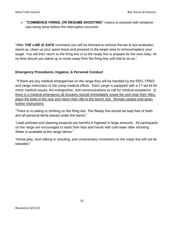➢ **"COMMENCE FIRING, OR RESUME SHOOTING"** means to proceed with whatever was being done before the interruption occurred.

"After *THE LINE IS SAFE* command you will be directed to remove the ear & eye protection, stand up, clean up your spent brass and proceed to the target area to remove/replace your target. You will then return to the firing line or to the ready line to prepare for the next relay. At no time should you stand up or move away from the firing line until told to do so."

#### **Emergency Procedures, Hygiene, & Personal Conduct**

"If there are any medical emergencies on the range they will be handled by the RSO, CRSO and range instructors or the camp medical officer. Each range is equipped with a 1<sup>st</sup> aid kit for minor medical issues, fire extinguisher, and communications to call for medical assistance. If there is a medical emergency all shooters should immediately cease fire and clear their rifles, place the bolts to the rear and return their rilfe to the bench rest. Remain seated until given further instructions.

"There is no eating or drinking on the firing line. The Ready line should be kept free of trash and all personal items placed under the bench."

"Lead particles and cleaning products are harmful if ingested in large amounts. All participants on the range are encouraged to wash their face and hands with cold water after shooting. Water is available at the range latrine."

"Horse-play, loud talking or shouting, and unnecessary movement on the ready line will not be tolerated."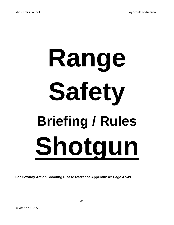# **Range Safety Briefing / Rules Shotgun**

**For Cowboy Action Shooting Please reference Appendix A2 Page 47-49**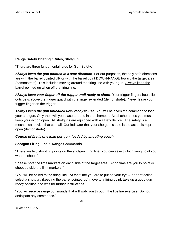#### **Range Safety Briefing / Rules, Shotgun**

"There are three fundamental rules for Gun Safety;"

*Always keep the gun pointed in a safe direction*. For our purposes, the only safe directions are with the barrel pointed UP or with the barrel point DOWN-RANGE toward the target area (demonstrate). This includes moving around the firing line with your gun. Always keep the barrel pointed up when off the firing line.

*Always keep your finger off the trigger until ready to shoot*. Your trigger finger should lie outside & above the trigger guard with the finger extended (demonstrate). Never leave your trigger finger on the trigger.

*Always keep the gun unloaded until ready to use*. You will be given the command to load your shotgun. Only then will you place a round in the chamber. At all other times you must keep your action open. All shotguns are equipped with a safety device. The safety is a mechanical device that can fail. Our indicator that your shotgun is safe is the action is kept open (demonstrate).

#### *Course of fire is one load per gun, loaded by shooting coach*.

#### **Shotgun Firing Line & Range Commands**

"There are two shooting points on the shotgun firing line. You can select which firing point you want to shoot from.

"Please note the limit markers on each side of the target area. At no time are you to point or shoot outside the limit markers."

"You will be called to the firing line. At that time you are to put on your eye & ear protection, select a shotgun, (keeping the barrel pointed up) move to a firing point, take up a good gun ready position and wait for further instructions."

"You will receive range commands that will walk you through the live fire exercise. Do not anticipate any commands."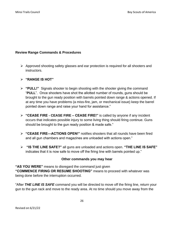#### **Review Range Commands & Procedures**

➢ Approved shooting safety glasses and ear protection is required for all shooters and instructors.

#### ➢ **"RANGE IS HOT"**

- ➢ **"PULL!"** Signals shooter to begin shooting with the shooter giving the command "**PULL**". Once shooters have shot the allotted number of rounds, guns should be brought to the gun ready position with barrels pointed down range & actions opened. If at any time you have problems (a miss-fire, jam, or mechanical issue) keep the barrel pointed down range and raise your hand for assistance."
- ➢ **"CEASE FIRE - CEASE FIRE – CEASE FIRE!"** is called by anyone if any incident occurs that indicates possible injury to some living thing should firing continue. Guns should be brought to the gun ready position & made safe."
- ➢ **"CEASE FIRE—ACTIONS OPEN!"** notifies shooters that all rounds have been fired and all gun chambers and magazines are unloaded with actions open."
- ➢ **"IS THE LINE SAFE?"** all guns are unloaded and actions open. **"THE LINE IS SAFE"**  indicates that it is now safe to move off the firing line with barrels pointed up."

#### **Other commands you may hear**

**"AS YOU WERE"** means to disregard the command just given **"COMMENCE FIRING OR RESUME SHOOTING"** means to proceed with whatever was being done before the interruption occurred.

"After *THE LINE IS SAFE* command you will be directed to move off the firing line, return your gun to the gun rack and move to the ready area. At no time should you move away from the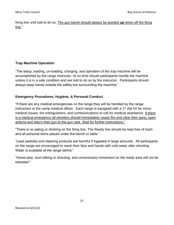firing line until told to do so. The gun barrel should always be pointed *up* when off the firing line."

#### **Trap Machine Operation**

"The setup, loading, un-loading, charging, and operation of the trap machine will be accomplished by the range instructor. At no time should participants handle the machine unless it is in a safe condition and are told to do so by the instructor. Participants should always keep hands outside the safety bar surrounding the machine."

#### **Emergency Procedures, Hygiene, & Personal Conduct**

"If there are any medical emergencies on the range they will be handled by the range instructors or the camp medical officer. Each range is equipped with a  $1<sup>st</sup>$  Aid Kit for minor medical issues, fire extinguishers, and communications to call for medical assistance. If there is a medical emergency all shooters should immediately cease fire and clear their guns, open actions and return their gun to the gun rack. Wait for further instructions."

"There is no eating or drinking on the firing line. The Ready line should be kept free of trash and all personal items placed under the bench or table."

"Lead particles and cleaning products are harmful if ingested in large amounts. All participants on the range are encouraged to wash their face and hands with cold water after shooting. Water is available at the range latrine."

"Horse-play, loud talking or shouting, and unnecessary movement on the ready area will not be tolerated."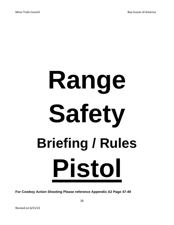# **Range Safety Briefing / Rules Pistol**

**For Cowboy Action Shooting Please reference Appendix A2 Page 47-49**

28

Revised on 6/21/22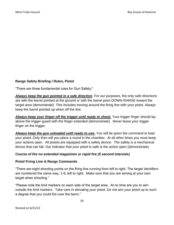#### **Range Safety Briefing / Rules, Pistol**

"There are three fundamental rules for Gun Safety;"

*Always keep the gun pointed in a safe direction*. For our purposes, the only safe directions are with the barrel pointed at the ground or with the barrel point DOWN-RANGE toward the target area (demonstrate). This includes moving around the firing line with your pistol. Always keep the barrel pointed up when off the line.

*Always keep your finger off the trigger until ready to shoot*. Your trigger finger should lay above the trigger guard with the finger extended (demonstrate). Never leave your trigger finger on the trigger.

*Always keep the gun unloaded until ready to use*. You will be given the command to load your pistol. Only then will you place a round in the chamber. At all other times you must keep your actions open. All pistols are equipped with a safety device. The safety is a mechanical device that can fail. Our indicator that your pistol is safe is the action open (demonstrate).

#### *Course of fire no extended magazines or rapid fire (5 second intervals)*

#### **Pistol Firing Line & Range Commands**

"There are eight shooting points on the firing line running from left to right. The target identifiers are numbered the same way, 1-8, left to right. Make sure that you are aiming at your own target when shooting."

"Please note the limit markers on each side of the target area. At no time are you to aim outside the limit markers. Take care in elevating your pistol. Do not aim your pistol up to such a degree that you could fire over the berm."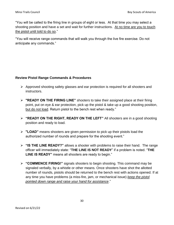"You will be called to the firing line in groups of eight or less. At that time you may select a shooting position and have a set and wait for further instructions. At no time are you to touch the pistol until told to do so."

"You will receive range commands that will walk you through the live fire exercise. Do not anticipate any commands."

#### **Review Pistol Range Commands & Procedures**

- ➢ Approved shooting safety glasses and ear protection is required for all shooters and instructors.
- ➢ **"READY ON THE FIRING LINE"** shooters to take their assigned place at their firing point, put on eye & ear protection, pick up the pistol & take up a good shooting position, but do not load. Return pistol to the bench rest when ready."
- ➢ **"READY ON THE RIGHT, READY ON THE LEFT"** All shooters are in a good shooting position and ready to load.
- ➢ **"LOAD"** means shooters are given permission to pick up their pistols load the authorized number of rounds and prepare for the shooting event."
- ➢ **"IS THE LINE READY?"** allows a shooter with problems to raise their hand. The range officer will immediately state: "**THE LINE IS NOT READY**" if a problem is noted. "**THE LINE IS READY"** means all shooters are ready to begin."
- ➢ **"COMMENCE FIRING!"** signals shooters to begin shooting. This command may be signaled verbally, by a whistle or other means. Once shooters have shot the allotted number of rounds, pistols should be returned to the bench rest with actions opened. If at any time you have problems (a miss-fire, jam, or mechanical issue) *keep the pistol pointed down range and raise your hand for assistance*."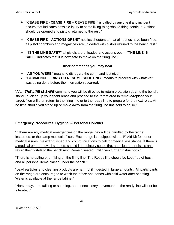- ➢ **"CEASE FIRE - CEASE FIRE – CEASE FIRE!"** is called by anyone if any incident occurs that indicates possible injury to some living thing should firing continue. Actions should be opened and pistols returned to the rest."
- ➢ **"CEASE FIRE—ACTIONS OPEN!"** notifies shooters to that all rounds have been fired, all pistol chambers and magazines are unloaded with pistols retuned to the bench rest."
- ➢ **"IS THE LINE SAFE?"** all pistols are unloaded and actions open. **"THE LINE IS SAFE"** indicates that it is now safe to move on the firing line."

#### **Other commands you may hear**

- ➢ **"AS YOU WERE"** means to disregard the command just given.
- ➢ **"COMMENCE FIRING OR RESUME SHOOTING"** means to proceed with whatever was being done before the interruption occurred.

"After *THE LINE IS SAFE* command you will be directed to return protection gear to the bench, stand up, clean up your spent brass and proceed to the target area to remove/replace your target. You will then return to the firing line or to the ready line to prepare for the next relay. At no time should you stand up or move away from the firing line until told to do so."

#### **Emergency Procedures, Hygiene, & Personal Conduct**

"If there are any medical emergencies on the range they will be handled by the range instructors or the camp medical officer. Each range is equipped with a  $1<sup>st</sup>$  Aid Kit for minor medical issues, fire extinguisher, and communications to call for medical assistance. If there is a medical emergency all shooters should immediately cease fire, and clear their pistols and return their pistols to the bench rest. Remain seated until given further instructions."

"There is no eating or drinking on the firing line. The Ready line should be kept free of trash and all personal items placed under the bench."

"Lead particles and cleaning products are harmful if ingested in large amounts. All participants on the range are encouraged to wash their face and hands with cold water after shooting. Water is available at the range latrine."

"Horse-play, loud talking or shouting, and unnecessary movement on the ready line will not be tolerated."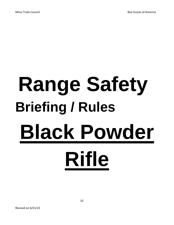# **Range Safety Briefing / Rules Black Powder Rifle**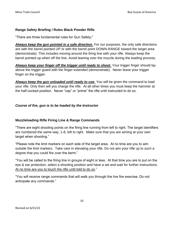#### **Range Safety Briefing / Rules Black Powder Rifle**

"There are three fundamental rules for Gun Safety;"

*Always keep the gun pointed in a safe direction*. For our purposes, the only safe directions are with the barrel pointed UP or with the barrel point DOWN-RANGE toward the target area (demonstrate). This includes moving around the firing line with your rifle. Always keep the barrel pointed up when off the line. Avoid leaning over the muzzle during the loading process.

**Always keep your finger off the trigger until ready to shoot.** Your trigger finger should lay above the trigger guard with the finger extended (demonstrate). Never leave your trigger finger on the trigger.

*Always keep the gun unloaded until ready to use*. You will be given the command to load your rifle. Only then will you charge the rifle. At all other times you must keep the hammer at the half-cocked position. Never "cap" or "prime" the rifle until instructed to do so.

# *Course of fire, gun is to be loaded by the Instructor*

# **Muzzleloading Rifle Firing Line & Range Commands**

"There are eight shooting points on the firing line running from left to right. The target identifiers are numbered the same way, 1-8, left to right. Make sure that you are aiming at your own target when shooting."

"Please note the limit markers on each side of the target area. At no time are you to aim outside the limit markers. Take care in elevating your rifle. Do not aim your rifle up to such a degree that you could fire over the berm."

"You will be called to the firing line in groups of eight or less. At that time you are to put on the eye & ear protection, select a shooting position and have a set and wait for further instructions. At no time are you to touch the rifle until told to do so."

"You will receive range commands that will walk you through the live fire exercise. Do not anticipate any commands."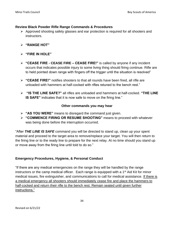#### **Review Black Powder Rifle Range Commands & Procedures**

- ➢ Approved shooting safety glasses and ear protection is required for all shooters and instructors.
- ➢ **"RANGE HOT"**
- ➢ **"FIRE IN HOLE"**
- ➢ **"CEASE FIRE - CEASE FIRE – CEASE FIRE!"** is called by anyone if any incident occurs that indicates possible injury to some living thing should firing continue. Rifle are to held pointed down range with fingers off the trigger until the situation is resolved"
- ➢ **"CEASE FIRE!"** notifies shooters to that all rounds have been fired, all rifle are unloaded with hammers at half-cocked with rifles retuned to the bench rest."
- ➢ **"IS THE LINE SAFE?"** all rifles are unloaded and hammers at half-cocked. **"THE LINE IS SAFE**" indicates that it is now safe to move on the firing line."

#### **Other commands you may hear**

- ➢ **"AS YOU WERE"** means to disregard the command just given.
- ➢ **"COMMENCE FIRING OR RESUME SHOOTING"** means to proceed with whatever was being done before the interruption occurred.

"After *THE LINE IS SAFE* command you will be directed to stand up, clean up your spent material and proceed to the target area to remove/replace your target. You will then return to the firing line or to the ready line to prepare for the next relay. At no time should you stand up or move away from the firing line until told to do so."

#### **Emergency Procedures, Hygiene, & Personal Conduct**

"If there are any medical emergencies on the range they will be handled by the range instructors or the camp medical officer. Each range is equipped with a  $1<sup>st</sup>$  Aid Kit for minor medical issues, fire extinguisher, and communications to call for medical assistance. If there is a medical emergency all shooters should immediately cease fire and place the hammers to half-cocked and return their rifle to the bench rest. Remain seated until given further instructions."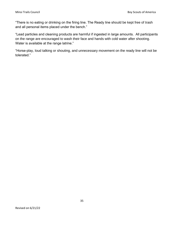"There is no eating or drinking on the firing line. The Ready line should be kept free of trash and all personal items placed under the bench."

"Lead particles and cleaning products are harmful if ingested in large amounts. All participants on the range are encouraged to wash their face and hands with cold water after shooting. Water is available at the range latrine."

"Horse-play, loud talking or shouting, and unnecessary movement on the ready line will not be tolerated."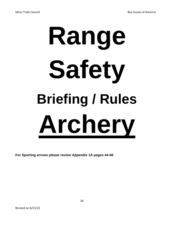# **Range Safety Briefing / Rules Archery**

**For Sporting arrows please review Appendix 1A pages 44-46**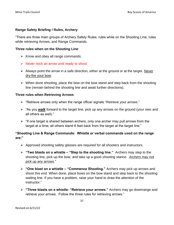#### **Range Safety Briefing / Rules, Archery**

"There are three main groups of Archery Safety Rules; rules while on the Shooting Line, rules while retrieving Arrows, and Range Commands.

#### **Three rules when on the Shooting Line**:

- $\triangleright$  Know and obey all range commands.
- $\triangleright$  Never nock an arrow until ready to shoot.
- ➢ Always point the arrow in a safe direction, either at the ground or at the target. Never dry-fire your bow.
- $\triangleright$  When done shooting, place the bow on the bow stand and step back from the shooting line (remain behind the shooting line and await further directions).

#### **Three rules when Retrieving Arrows**:

- ➢ "Retrieve arrows only when the range officer signals "*Retrieve your arrows*."
- ➢ "As you *walk* forward to the target line, pick up any arrows on the ground (your own and all others as well)."
- $\triangleright$  "If one target is shared between archers, only one archer may pull arrows from the target at a time; all others stand 6 feet back from the target at the target line."

#### **"Shooting Line & Range Commands: Whistle or verbal commands used on the range are;"**

- ➢ Approved shooting safety glasses are required for all shooters and instructors.
- ➢ **"Two blasts on a whistle – "Step to the shooting line."** Archers may step to the shooting line, pick up the bow, and take up a good *shooting stance*. *Archers may not pick up any arrows*."
- ➢ **"One blast on a whistle – "Commence Shooting."** Archers may pick up arrows and shoot this *end*. When done, place bows on the bow stand and step back to the shooting waiting line. If you have a problem, raise your hand to draw the attention of the instructor."
- ➢ **"Three blasts on a whistle- "Retrieve your arrows."** Archers may go downrange and retrieve your arrows. Follow the three rules for retrieving arrows."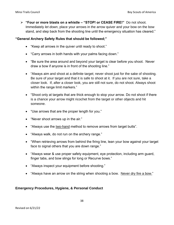➢ **"Four or more blasts on a whistle – "STOP! or CEASE FIRE!"** Do not shoot. Immediately *let down*, place your arrows in the arrow quiver and your bow on the bow stand, and step back from the shooting line until the emergency situation has cleared."

#### **"General Archery Safety Rules that should be followed;"**

- "Keep all arrows in the quiver until ready to shoot."
- "Carry arrows in both hands with your palms facing down."
- "Be sure the area around and beyond your target is clear before you shoot. Never draw a bow if anyone is in front of the shooting line."
- "Always aim and shoot at a definite target; never shoot just for the sake of shooting. Be sure of your target and that it is safe to shoot at it. If you are not sure, take a closer look. If, after a closer look, you are still not sure, do not shoot. Always shoot within the range limit markers."
- "Shoot only at targets that are thick enough to stop your arrow. Do not shoot if there is a chance your arrow might ricochet from the target or other objects and hit someone.
- "Use arrows that are the proper length for you."
- "Never shoot arrows up in the air."
- "Always use the two-hand method to remove arrows from target butts".
- "Always walk, do not run on the archery range."
- "When retrieving arrows from behind the firing line, lean your bow against your target face to signal others that you are down range."
- "Always wear & use proper safety equipment, eye protection, including arm guard, finger tabs, and bow slings for long or Recurve bows."
- "Always inspect your equipment before shooting."
- "Always have an arrow on the string when shooting a bow. Never dry fire a bow."

#### **Emergency Procedures, Hygiene, & Personal Conduct**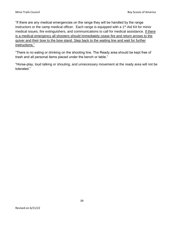"If there are any medical emergencies on the range they will be handled by the range instructors or the camp medical officer. Each range is equipped with a 1<sup>st</sup> Aid Kit for minor medical issues, fire extinguishers, and communications to call for medical assistance. If there is a medical emergency all shooters should immediately cease fire and return arrows to the quiver and their bow to the bow stand. Step back to the waiting line and wait for further instructions."

"There is no eating or drinking on the shooting line. The Ready area should be kept free of trash and all personal items placed under the bench or table."

"Horse-play, loud talking or shouting, and unnecessary movement at the ready area will not be tolerated."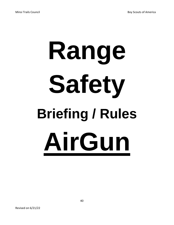# **Range Safety Briefing / Rules AirGun**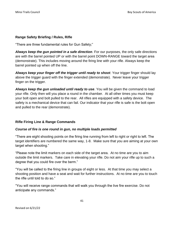#### **Range Safety Briefing / Rules, Rifle**

"There are three fundamental rules for Gun Safety;"

*Always keep the gun pointed in a safe direction*. For our purposes, the only safe directions are with the barrel pointed UP or with the barrel point DOWN-RANGE toward the target area (demonstrate). This includes moving around the firing line with your rifle. Always keep the barrel pointed up when off the line.

*Always keep your finger off the trigger until ready to shoot*. Your trigger finger should lay above the trigger guard with the finger extended (demonstrate). Never leave your trigger finger on the trigger.

*Always keep the gun unloaded until ready to use*. You will be given the command to load your rifle. Only then will you place a round in the chamber. At all other times you must keep your bolt open and bolt pulled to the rear. All rifles are equipped with a safety device. The safety is a mechanical device that can fail. Our indicator that your rifle is safe is the bolt open and pulled to the rear (demonstrate).

#### **Rifle Firing Line & Range Commands**

#### *Course of fire is one round in gun, no multiple loads permitted*

"There are eight shooting points on the firing line running from left to right or right to left. The target identifiers are numbered the same way, 1-8. Make sure that you are aiming at your own target when shooting."

"Please note the limit markers on each side of the target area. At no time are you to aim outside the limit markers. Take care in elevating your rifle. Do not aim your rifle up to such a degree that you could fire over the berm."

"You will be called to the firing line in groups of eight or less. At that time you may select a shooting position and have a seat and wait for further instructions. At no time are you to touch the rifle until told to do so."

"You will receive range commands that will walk you through the live fire exercise. Do not anticipate any commands."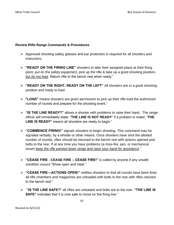#### **Review Rifle Range Commands & Procedures**

- ➢ Approved shooting safety glasses and ear protection is required for all shooters and instructors.
- ➢ **"READY ON THE FIRING LINE"** shooters to take their assigned place at their firing point, put on the safety equipment, pick up the rifle & take up a good shooting position, but do not load. Return rifle to the bench rest when ready."
- ➢ **"READY ON THE RIGHT, READY ON THE LEFT"** All shooters are in a good shooting position and ready to load.
- ➢ **"LOAD"** means shooters are given permission to pick up their rifle load the authorized number of rounds and prepare for the shooting event."
- ➢ **"IS THE LINE READY?"** allows a shooter with problems to raise their hand. The range officer will immediately state: "**THE LINE IS NOT READY**" if a problem is noted. "**THE LINE IS READY"** means all shooters are ready to begin."
- ➢ **"COMMENCE FIRING!"** signals shooters to begin shooting. This command may be signaled verbally, by a whistle or other means. Once shooters have shot the allotted number of rounds, rifles should be returned to the bench rest with actions opened and bolts to the rear. If at any time you have problems (a miss-fire, jam, or mechanical issue) *keep the rifle pointed down range and raise your hand for assistance*."
- ➢ **"CEASE FIRE - CEASE FIRE – CEASE FIRE!"** is called by anyone if any unsafe condition occurs "Show open and clear."
- ➢ **"CEASE FIRE—ACTIONS OPEN!"** notifies shooters to that all rounds have been fired, all rifle chambers and magazines are unloaded with bolts to the rear with rifles retuned to the bench rest."
- ➢ **"IS THE LINE SAFE?"** all rifles are unloaded and bolts are to the rear. **"THE LINE IS SAFE**" indicates that it is now safe to move on the firing line."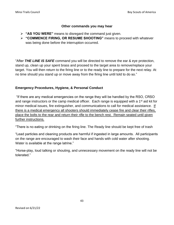#### **Other commands you may hear**

- ➢ **"AS YOU WERE"** means to disregard the command just given.
- ➢ **"COMMENCE FIRING, OR RESUME SHOOTING"** means to proceed with whatever was being done before the interruption occurred.

"After *THE LINE IS SAFE* command you will be directed to remove the ear & eye protection, stand up, clean up your spent brass and proceed to the target area to remove/replace your target. You will then return to the firing line or to the ready line to prepare for the next relay. At no time should you stand up or move away from the firing line until told to do so."

#### **Emergency Procedures, Hygiene, & Personal Conduct**

"If there are any medical emergencies on the range they will be handled by the RSO, CRSO and range instructors or the camp medical officer. Each range is equipped with a 1<sup>st</sup> aid kit for minor medical issues, fire extinguisher, and communications to call for medical assistance. If there is a medical emergency all shooters should immediately cease fire and clear their rifles, place the bolts to the rear and return their rifle to the bench rest. Remain seated until given further instructions.

"There is no eating or drinking on the firing line. The Ready line should be kept free of trash

"Lead particles and cleaning products are harmful if ingested in large amounts. All participants on the range are encouraged to wash their face and hands with cold water after shooting. Water is available at the range latrine."

"Horse-play, loud talking or shouting, and unnecessary movement on the ready line will not be tolerated."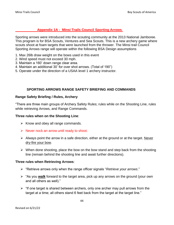#### **Appendix 1A - Minsi Trails Council Sporting Arrows**.

Sporting arrows were introduced into the scouting community at the 2013 National Jamboree. This program is for BSA Scouts, Ventures and Sea Scouts. This is a new archery game where scouts shoot at foam targets that were launched from the thrower. The Minsi trail Council Sporting Arrows range will operate within the following BSA Design assumptions

- 1. Max 26lb draw weight on the bows used in this event
- 2. Wind speed must not exceed 30 mph.
- 3. Maintain a 160' down range clear area.
- 4. Maintain an additional 30' for over shot arrows. (Total of 190")
- 5. Operate under the direction of a USAA level 1 archery instructor.

#### **SPORTING ARROWS RANGE SAFETY BRIEFING AND COMMANDS**

#### **Range Safety Briefing / Rules, Archery**

"There are three main groups of Archery Safety Rules; rules while on the Shooting Line, rules while retrieving Arrows, and Range Commands.

#### **Three rules when on the Shooting Line**:

- $\triangleright$  Know and obey all range commands.
- $\triangleright$  Never nock an arrow until ready to shoot.
- $\triangleright$  Always point the arrow in a safe direction, either at the ground or at the target. Never dry-fire your bow.
- $\triangleright$  When done shooting, place the bow on the bow stand and step back from the shooting line (remain behind the shooting line and await further directions).

#### **Three rules when Retrieving Arrows**:

- ➢ "Retrieve arrows only when the range officer signals "*Retrieve your arrows*."
- ➢ "As you *walk* forward to the target area, pick up any arrows on the ground (your own and all others as well)."
- $\triangleright$  "If one target is shared between archers, only one archer may pull arrows from the target at a time; all others stand 6 feet back from the target at the target line."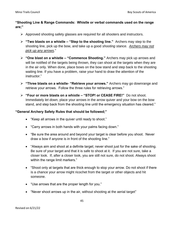#### **"Shooting Line & Range Commands: Whistle or verbal commands used on the range are;"**

- ➢ Approved shooting safety glasses are required for all shooters and instructors.
- ➢ **"Two blasts on a whistle – "Step to the shooting line."** Archers may step to the shooting line, pick up the bow, and take up a good *shooting stance*. *Archers may not pick up any arrows*."
- ➢ **"One blast on a whistle – "Commence Shooting."** Archers may pick up arrows and will be notified of the targets being thrown, they can shoot at the targets when they are in the air only. When done, place bows on the bow stand and step back to the shooting waiting line. If you have a problem, raise your hand to draw the attention of the instructor."
- ➢ **"Three blasts on a whistle- "Retrieve your arrows."** Archers may go downrange and retrieve your arrows. Follow the three rules for retrieving arrows."
- ➢ **"Four or more blasts on a whistle – "STOP! or CEASE FIRE!"** Do not shoot. Immediately *let down*, place your arrows in the arrow quiver and your bow on the bow stand, and step back from the shooting line until the emergency situation has cleared."

#### **"General Archery Safety Rules that should be followed;"**

- "Keep all arrows in the quiver until ready to shoot."
- "Carry arrows in both hands with your palms facing down."
- "Be sure the area around and beyond your target is clear before you shoot. Never draw a bow if anyone is in front of the shooting line."
- "Always aim and shoot at a definite target; never shoot just for the sake of shooting. Be sure of your target and that it is safe to shoot at it. If you are not sure, take a closer look. If, after a closer look, you are still not sure, do not shoot. Always shoot within the range limit markers."
- "Shoot only at targets that are thick enough to stop your arrow. Do not shoot if there is a chance your arrow might ricochet from the target or other objects and hit someone.
- "Use arrows that are the proper length for you."
- "Never shoot arrows up in the air, without shooting at the aerial target"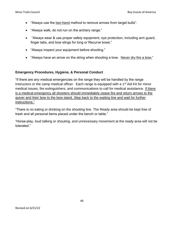- "Always use the two-hand method to remove arrows from target butts".
- "Always walk, do not run on the archery range."
- "Always wear & use proper safety equipment, eye protection, including arm guard, finger tabs, and bow slings for long or Recurve bows."
- "Always inspect your equipment before shooting."
- "Always have an arrow on the string when shooting a bow. Never dry fire a bow."

#### **Emergency Procedures, Hygiene, & Personal Conduct**

"If there are any medical emergencies on the range they will be handled by the range instructors or the camp medical officer. Each range is equipped with a  $1<sup>st</sup>$  Aid Kit for minor medical issues, fire extinguishers, and communications to call for medical assistance. If there is a medical emergency all shooters should immediately cease fire and return arrows to the quiver and their bow to the bow stand. Step back to the waiting line and wait for further instructions."

"There is no eating or drinking on the shooting line. The Ready area should be kept free of trash and all personal items placed under the bench or table."

"Horse-play, loud talking or shouting, and unnecessary movement at the ready area will not be tolerated."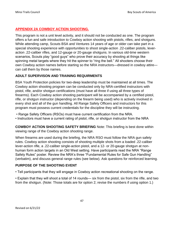# **APPENDIX 2A COWBOY ACTION SHOOTING.**

This program is not a unit level activity, and it should not be conducted as one. The program offers a fun and safe introduction to Cowboy action shooting with pistols, rifles, and shotguns. While attending camp, Scouts BSA and Ventures 14 years of age or older can take part in a special shooting experience with opportunities to shoot single-action .22-caliber pistols, leveraction .22-caliber rifles, and 12-gauge or 20-gauge shotguns. In various old-time western scenarios, Scouts play "good guys" who prove their accuracy by shooting at things like spinning metal targets where they hit the spinner to "ring the bell." All shooters choose their own Cowboy action names before starting so the NRA instructors—dressed in cowboy attire can call them by those names.

#### **ADULT SUPERVISON AND TRAINING REQUIRMENTS**

BSA Youth Protection policies for two-deep leadership must be maintained at all times. The Cowboy action shooting program can be conducted only by NRA-certified instructors with pistol, rifle, and/or shotgun certifications (must have all three if using all three types of firearms). Each Cowboy action shooting participant will be accompanied by a certified pistol, rifle, or shotgun instructor (depending on the firearm being used) who is actively involved in every shot and all of the gun handling. All Range Safety Officers and instructors for this program must possess current credentials for the discipline they will be instructing.

- Range Safety Officers (RSOs) must have current certification from the NRA.
- Instructors must have a current rating of pistol, rifle, or shotgun instructor from the NRA

**COWBOY ACTION SHOOTING SAFETY BRIEFING** Note: This briefing is best done within viewing range of the Cowboy action shooting range.

When firearms are used during the briefing, the NRA RSO must follow the NRA gun safety rules. Cowboy action shooting consists of shooting multiple shots from a loaded .22-caliber lever-action rifle, a .22-caliber single-action pistol, and a 12- or 20-gauge shotgun at nonhuman form action targets in an Old West setting. Have participants read the NRA "Range Safety Rules" poster. Review the NRA's three "Fundamental Rules for Safe Gun Handling" (verbatim), and discuss general range rules (see below). Ask questions for reinforced learning.

# **PURPOSE OF THE SHOOTING EVENT**

• Tell participants that they will engage in Cowboy action recreational shooting on the range.

• Explain that they will shoot a total of 14 rounds— six from the pistol, six from the rifle, and two from the shotgun. (Note: Those totals are for option 2; revise the numbers if using option 1.)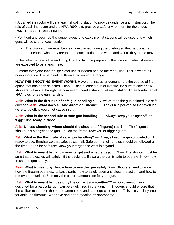• A trained instructor will be at each shooting station to provide guidance and instruction. The role of each instructor and the NRA RSO is to provide a safe environment for the shoot. RANGE LAYOUT AND LIMITS

• Point out and describe the range layout, and explain what stations will be used and which guns will be shot at each station.

• The course of fire must be clearly explained during the briefing so that participants understand what they are to do at each station, and when and where they are to move

• Describe the ready line and firing line. Explain the purpose of the lines and when shooters are expected to be at each line.

• Inform everyone that the spectator line is located behind the ready line. This is where all non-shooters will remain until authorized to enter the range.

**HOW THE SHOOTING EVENT WORKS** Have one instructor demonstrate the course of fire option that has been selected, without using a loaded gun or live fire. Be sure to cover how shooters will move through the course and handle shooting at each station Three fundamental NRA rules for safe gun handling:

Ask: **What is the first rule of safe gun handling?** — Always keep the gun pointed in a safe direction. Ask: **What does a "safe direction" mean?** — The gun is pointed so that even if it were to go off, it would not cause injury.

Ask: **What is the second rule of safe gun handling?** — Always keep your finger off the trigger until ready to shoot.

Ask: **Unless shooting, where should the shooter's f finger(s) rest?** — The finger(s) should rest alongside the gun, i.e., on the frame, receiver, or trigger guard.

Ask: **What is the third rule of safe gun handling?** — Always keep the gun unloaded until ready to use. Emphasize that safeties can fail. Safe gun-handling rules should be followed all the time! Rules for safe use Know your target and what is beyond.

Ask: **What is meant by "know your target and what is beyond"?** — The shooter must be sure that projectiles will safely hit the backstop. Be sure the gun is safe to operate. Know how to use the gun safely.

**Ask: What is meant by "know how to use the gun safely"?** — Shooters need to know how the firearm operates, its basic parts, how to safely open and close the action, and how to remove ammunition. Use only the correct ammunition for your gun.

Ask: **What is meant by "use only the correct ammunition"?** — Only ammunition designed for a particular gun can be safely fired in that gun. — Shooters should ensure that the caliber marked on the barrel, ammo box, and cartridge case match. This is especially true for antique f firearms. Wear eye and ear protection as appropriate.